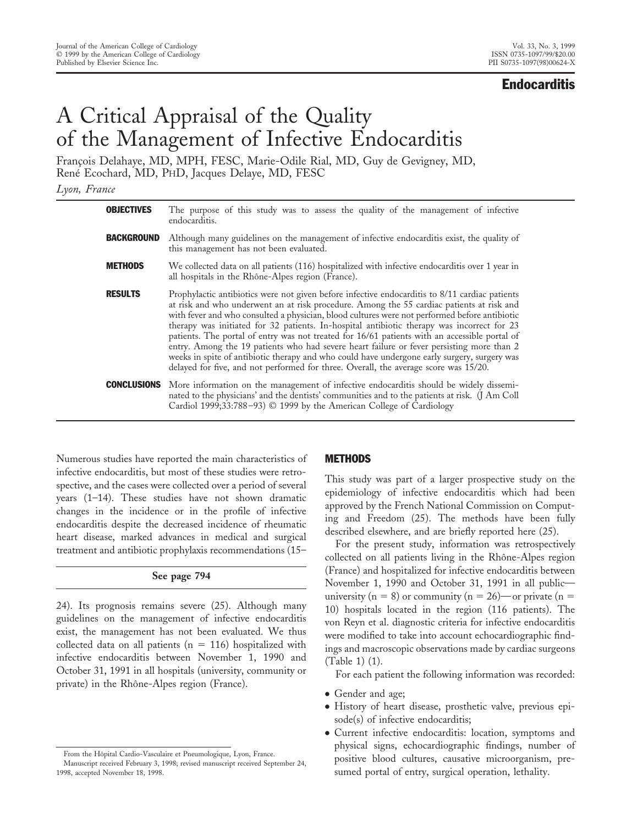## **Endocarditis**

# A Critical Appraisal of the Quality of the Management of Infective Endocarditis

François Delahaye, MD, MPH, FESC, Marie-Odile Rial, MD, Guy de Gevigney, MD, René Ecochard, MD, PHD, Jacques Delaye, MD, FESC

*Lyon, France*

| <b>OBJECTIVES</b>  | The purpose of this study was to assess the quality of the management of infective<br>endocarditis.                                                                                                                                                                                                                                                                                                                                                                                                                                                                                                                                                                                                                                                                              |
|--------------------|----------------------------------------------------------------------------------------------------------------------------------------------------------------------------------------------------------------------------------------------------------------------------------------------------------------------------------------------------------------------------------------------------------------------------------------------------------------------------------------------------------------------------------------------------------------------------------------------------------------------------------------------------------------------------------------------------------------------------------------------------------------------------------|
| <b>BACKGROUND</b>  | Although many guidelines on the management of infective endocarditis exist, the quality of<br>this management has not been evaluated.                                                                                                                                                                                                                                                                                                                                                                                                                                                                                                                                                                                                                                            |
| <b>METHODS</b>     | We collected data on all patients (116) hospitalized with infective endocarditis over 1 year in<br>all hospitals in the Rhône-Alpes region (France).                                                                                                                                                                                                                                                                                                                                                                                                                                                                                                                                                                                                                             |
| <b>RESULTS</b>     | Prophylactic antibiotics were not given before infective endocarditis to 8/11 cardiac patients<br>at risk and who underwent an at risk procedure. Among the 55 cardiac patients at risk and<br>with fever and who consulted a physician, blood cultures were not performed before antibiotic<br>therapy was initiated for 32 patients. In-hospital antibiotic therapy was incorrect for 23<br>patients. The portal of entry was not treated for 16/61 patients with an accessible portal of<br>entry. Among the 19 patients who had severe heart failure or fever persisting more than 2<br>weeks in spite of antibiotic therapy and who could have undergone early surgery, surgery was<br>delayed for five, and not performed for three. Overall, the average score was 15/20. |
| <b>CONCLUSIONS</b> | More information on the management of infective endocarditis should be widely dissemi-<br>nated to the physicians' and the dentists' communities and to the patients at risk. (J Am Coll<br>Cardiol 1999;33:788-93) $\odot$ 1999 by the American College of Cardiology                                                                                                                                                                                                                                                                                                                                                                                                                                                                                                           |

Numerous studies have reported the main characteristics of infective endocarditis, but most of these studies were retrospective, and the cases were collected over a period of several years (1–14). These studies have not shown dramatic changes in the incidence or in the profile of infective endocarditis despite the decreased incidence of rheumatic heart disease, marked advances in medical and surgical treatment and antibiotic prophylaxis recommendations (15–

## **See page 794**

24). Its prognosis remains severe (25). Although many guidelines on the management of infective endocarditis exist, the management has not been evaluated. We thus collected data on all patients ( $n = 116$ ) hospitalized with infective endocarditis between November 1, 1990 and October 31, 1991 in all hospitals (university, community or private) in the Rhône-Alpes region (France).

## METHODS

This study was part of a larger prospective study on the epidemiology of infective endocarditis which had been approved by the French National Commission on Computing and Freedom (25). The methods have been fully described elsewhere, and are briefly reported here (25).

For the present study, information was retrospectively collected on all patients living in the Rhône-Alpes region (France) and hospitalized for infective endocarditis between November 1, 1990 and October 31, 1991 in all public university (n = 8) or community (n = 26)—or private (n = 10) hospitals located in the region (116 patients). The von Reyn et al. diagnostic criteria for infective endocarditis were modified to take into account echocardiographic findings and macroscopic observations made by cardiac surgeons (Table 1) (1).

For each patient the following information was recorded:

- Gender and age;
- History of heart disease, prosthetic valve, previous episode(s) of infective endocarditis;
- Current infective endocarditis: location, symptoms and physical signs, echocardiographic findings, number of positive blood cultures, causative microorganism, presumed portal of entry, surgical operation, lethality.

From the Hôpital Cardio-Vasculaire et Pneumologique, Lyon, France.

Manuscript received February 3, 1998; revised manuscript received September 24, 1998, accepted November 18, 1998.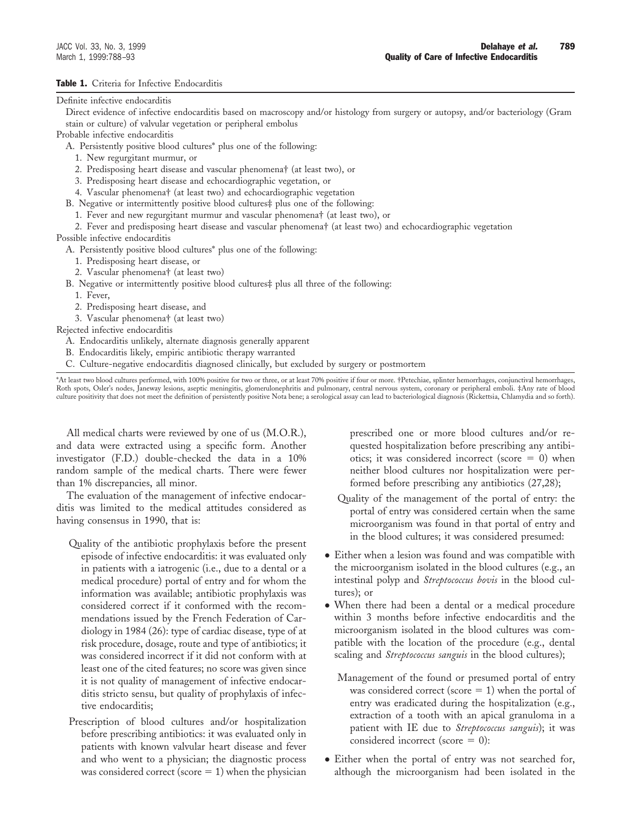### Table 1. Criteria for Infective Endocarditis

#### Definite infective endocarditis

Direct evidence of infective endocarditis based on macroscopy and/or histology from surgery or autopsy, and/or bacteriology (Gram stain or culture) of valvular vegetation or peripheral embolus

Probable infective endocarditis

A. Persistently positive blood cultures\* plus one of the following:

- 1. New regurgitant murmur, or
- 2. Predisposing heart disease and vascular phenomena† (at least two), or
- 3. Predisposing heart disease and echocardiographic vegetation, or
- 4. Vascular phenomena† (at least two) and echocardiographic vegetation
- B. Negative or intermittently positive blood cultures‡ plus one of the following:
	- 1. Fever and new regurgitant murmur and vascular phenomena† (at least two), or

2. Fever and predisposing heart disease and vascular phenomena† (at least two) and echocardiographic vegetation

Possible infective endocarditis

A. Persistently positive blood cultures\* plus one of the following:

- 1. Predisposing heart disease, or
- 2. Vascular phenomena† (at least two)
- B. Negative or intermittently positive blood cultures‡ plus all three of the following:
	- 1. Fever,
	- 2. Predisposing heart disease, and
	- 3. Vascular phenomena† (at least two)

Rejected infective endocarditis

- A. Endocarditis unlikely, alternate diagnosis generally apparent
- B. Endocarditis likely, empiric antibiotic therapy warranted
- C. Culture-negative endocarditis diagnosed clinically, but excluded by surgery or postmortem

\*At least two blood cultures performed, with 100% positive for two or three, or at least 70% positive if four or more. †Petechiae, splinter hemorrhages, conjunctival hemorrhages, Roth spots, Osler's nodes, Janeway lesions, aseptic meningitis, glomerulonephritis and pulmonary, central nervous system, coronary or peripheral emboli. ‡Any rate of blood culture positivity that does not meet the definition of persistently positive Nota bene; a serological assay can lead to bacteriological diagnosis (Rickettsia, Chlamydia and so forth).

All medical charts were reviewed by one of us (M.O.R.), and data were extracted using a specific form. Another investigator (F.D.) double-checked the data in a 10% random sample of the medical charts. There were fewer than 1% discrepancies, all minor.

The evaluation of the management of infective endocarditis was limited to the medical attitudes considered as having consensus in 1990, that is:

- Quality of the antibiotic prophylaxis before the present episode of infective endocarditis: it was evaluated only in patients with a iatrogenic (i.e., due to a dental or a medical procedure) portal of entry and for whom the information was available; antibiotic prophylaxis was considered correct if it conformed with the recommendations issued by the French Federation of Cardiology in 1984 (26): type of cardiac disease, type of at risk procedure, dosage, route and type of antibiotics; it was considered incorrect if it did not conform with at least one of the cited features; no score was given since it is not quality of management of infective endocarditis stricto sensu, but quality of prophylaxis of infective endocarditis;
- Prescription of blood cultures and/or hospitalization before prescribing antibiotics: it was evaluated only in patients with known valvular heart disease and fever and who went to a physician; the diagnostic process was considered correct (score  $= 1$ ) when the physician

prescribed one or more blood cultures and/or requested hospitalization before prescribing any antibiotics; it was considered incorrect (score  $= 0$ ) when neither blood cultures nor hospitalization were performed before prescribing any antibiotics (27,28);

- Quality of the management of the portal of entry: the portal of entry was considered certain when the same microorganism was found in that portal of entry and in the blood cultures; it was considered presumed:
- Either when a lesion was found and was compatible with the microorganism isolated in the blood cultures (e.g., an intestinal polyp and *Streptococcus bovis* in the blood cultures); or
- When there had been a dental or a medical procedure within 3 months before infective endocarditis and the microorganism isolated in the blood cultures was compatible with the location of the procedure (e.g., dental scaling and *Streptococcus sanguis* in the blood cultures);
	- Management of the found or presumed portal of entry was considered correct (score  $= 1$ ) when the portal of entry was eradicated during the hospitalization (e.g., extraction of a tooth with an apical granuloma in a patient with IE due to *Streptococcus sanguis*); it was considered incorrect (score  $= 0$ ):
- Either when the portal of entry was not searched for, although the microorganism had been isolated in the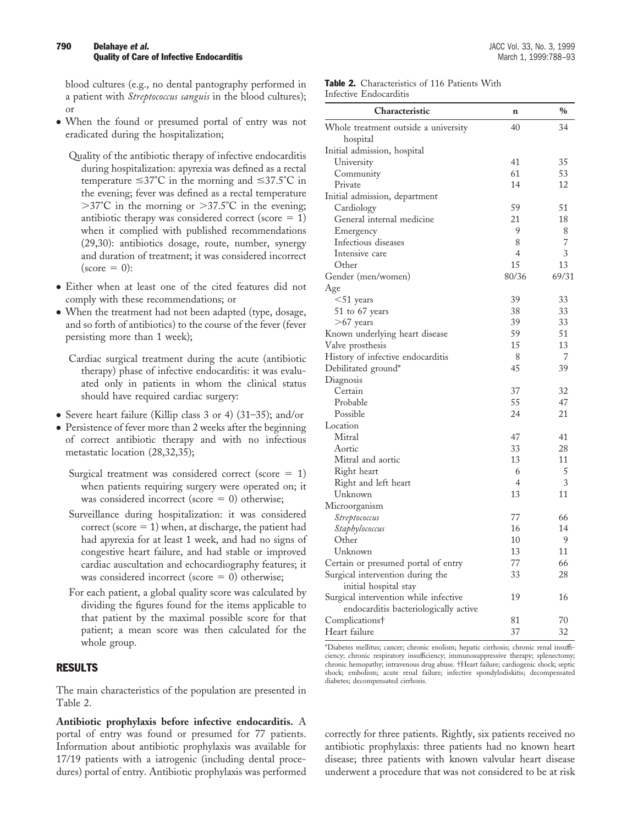blood cultures (e.g., no dental pantography performed in a patient with *Streptococcus sanguis* in the blood cultures); or

● When the found or presumed portal of entry was not eradicated during the hospitalization;

Quality of the antibiotic therapy of infective endocarditis during hospitalization: apyrexia was defined as a rectal temperature  $\leq 37^{\circ}$ C in the morning and  $\leq 37.5^{\circ}$ C in the evening; fever was defined as a rectal temperature  $>37^{\circ}$ C in the morning or  $>37.5^{\circ}$ C in the evening; antibiotic therapy was considered correct (score  $= 1$ ) when it complied with published recommendations (29,30): antibiotics dosage, route, number, synergy and duration of treatment; it was considered incorrect  $(\text{score} = 0):$ 

- Either when at least one of the cited features did not comply with these recommendations; or
- When the treatment had not been adapted (type, dosage, and so forth of antibiotics) to the course of the fever (fever persisting more than 1 week);

Cardiac surgical treatment during the acute (antibiotic therapy) phase of infective endocarditis: it was evaluated only in patients in whom the clinical status should have required cardiac surgery:

- Severe heart failure (Killip class 3 or 4) (31–35); and/or
- Persistence of fever more than 2 weeks after the beginning of correct antibiotic therapy and with no infectious metastatic location (28,32,35);
	- Surgical treatment was considered correct (score  $= 1$ ) when patients requiring surgery were operated on; it was considered incorrect (score  $= 0$ ) otherwise;
	- Surveillance during hospitalization: it was considered correct (score  $= 1$ ) when, at discharge, the patient had had apyrexia for at least 1 week, and had no signs of congestive heart failure, and had stable or improved cardiac auscultation and echocardiography features; it was considered incorrect (score  $= 0$ ) otherwise;
	- For each patient, a global quality score was calculated by dividing the figures found for the items applicable to that patient by the maximal possible score for that patient; a mean score was then calculated for the whole group.

## RESULTS

The main characteristics of the population are presented in Table 2.

**Antibiotic prophylaxis before infective endocarditis.** A portal of entry was found or presumed for 77 patients. Information about antibiotic prophylaxis was available for 17/19 patients with a iatrogenic (including dental procedures) portal of entry. Antibiotic prophylaxis was performed

| <b>Table 2.</b> Characteristics of 116 Patients With |  |  |
|------------------------------------------------------|--|--|
| Infective Endocarditis                               |  |  |

| Characteristic                        | $\mathbf n$    | $\frac{0}{0}$ |
|---------------------------------------|----------------|---------------|
| Whole treatment outside a university  | 40             | 34            |
| hospital                              |                |               |
| Initial admission, hospital           |                |               |
| University                            | 41             | 35            |
| Community                             | 61             | 53            |
| Private                               | 14             | 12            |
| Initial admission, department         |                |               |
| Cardiology                            | 59             | 51            |
| General internal medicine             | 21             | 18            |
| Emergency                             | 9              | 8             |
| Infectious diseases                   | 8              | 7             |
| Intensive care                        | $\overline{4}$ | 3             |
| Other                                 | 15             | 13            |
| Gender (men/women)                    | 80/36          | 69/31         |
| Age                                   |                |               |
| $<$ 51 years                          | 39             | 33            |
| 51 to 67 years                        | 38             | 33            |
| $>67$ years                           | 39             | 33            |
| Known underlying heart disease        | 59             | 51            |
| Valve prosthesis                      | 15             | 13            |
| History of infective endocarditis     | 8              | 7             |
| Debilitated ground*                   | 45             | 39            |
| Diagnosis                             |                |               |
| Certain                               | 37             | 32            |
| Probable                              | 55             | 47            |
| Possible                              | 24             | 21            |
| Location                              |                |               |
| Mitral                                | 47             | 41            |
| Aortic                                | 33             | 28            |
| Mitral and aortic                     | 13             | 11            |
| Right heart                           | 6              | 5             |
| Right and left heart                  | $\overline{4}$ | 3             |
| Unknown                               | 13             | 11            |
| Microorganism                         |                |               |
| Streptococcus                         | 77             | 66            |
| Staphylococcus                        | 16             | 14            |
| Other                                 | 10             | 9             |
| Unknown                               | 13             | 11            |
| Certain or presumed portal of entry   | 77             | 66            |
| Surgical intervention during the      | 33             | 28            |
| initial hospital stay                 |                |               |
| Surgical intervention while infective | 19             | 16            |
| endocarditis bacteriologically active |                |               |
| Complications†                        | 81             | 70            |
| Heart failure                         | 37             | 32            |

\*Diabetes mellitus; cancer; chronic enolism; hepatic cirrhosis; chronic renal insufficiency; chronic respiratory insufficiency; immunosuppressive therapy; splenectomy; chronic hemopathy; intravenous drug abuse. †Heart failure; cardiogenic shock; septic shock; embolism; acute renal failure; infective spondylodiskitis; decompensated diabetes; decompensated cirrhosis.

correctly for three patients. Rightly, six patients received no antibiotic prophylaxis: three patients had no known heart disease; three patients with known valvular heart disease underwent a procedure that was not considered to be at risk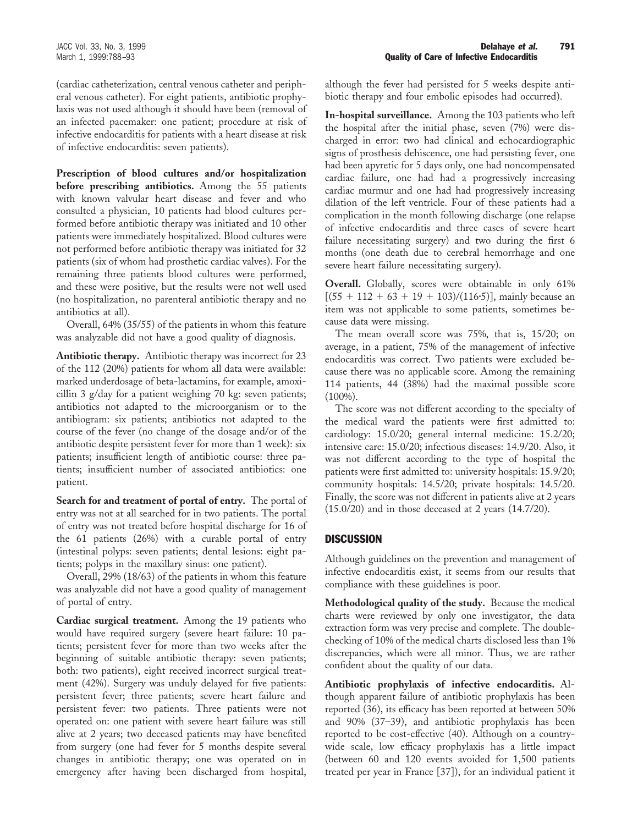(cardiac catheterization, central venous catheter and peripheral venous catheter). For eight patients, antibiotic prophylaxis was not used although it should have been (removal of an infected pacemaker: one patient; procedure at risk of infective endocarditis for patients with a heart disease at risk of infective endocarditis: seven patients).

**Prescription of blood cultures and/or hospitalization before prescribing antibiotics.** Among the 55 patients with known valvular heart disease and fever and who consulted a physician, 10 patients had blood cultures performed before antibiotic therapy was initiated and 10 other patients were immediately hospitalized. Blood cultures were not performed before antibiotic therapy was initiated for 32 patients (six of whom had prosthetic cardiac valves). For the remaining three patients blood cultures were performed, and these were positive, but the results were not well used (no hospitalization, no parenteral antibiotic therapy and no antibiotics at all).

Overall, 64% (35/55) of the patients in whom this feature was analyzable did not have a good quality of diagnosis.

**Antibiotic therapy.** Antibiotic therapy was incorrect for 23 of the 112 (20%) patients for whom all data were available: marked underdosage of beta-lactamins, for example, amoxicillin 3 g/day for a patient weighing 70 kg: seven patients; antibiotics not adapted to the microorganism or to the antibiogram: six patients; antibiotics not adapted to the course of the fever (no change of the dosage and/or of the antibiotic despite persistent fever for more than 1 week): six patients; insufficient length of antibiotic course: three patients; insufficient number of associated antibiotics: one patient.

**Search for and treatment of portal of entry.** The portal of entry was not at all searched for in two patients. The portal of entry was not treated before hospital discharge for 16 of the 61 patients (26%) with a curable portal of entry (intestinal polyps: seven patients; dental lesions: eight patients; polyps in the maxillary sinus: one patient).

Overall, 29% (18/63) of the patients in whom this feature was analyzable did not have a good quality of management of portal of entry.

**Cardiac surgical treatment.** Among the 19 patients who would have required surgery (severe heart failure: 10 patients; persistent fever for more than two weeks after the beginning of suitable antibiotic therapy: seven patients; both: two patients), eight received incorrect surgical treatment (42%). Surgery was unduly delayed for five patients: persistent fever; three patients; severe heart failure and persistent fever: two patients. Three patients were not operated on: one patient with severe heart failure was still alive at 2 years; two deceased patients may have benefited from surgery (one had fever for 5 months despite several changes in antibiotic therapy; one was operated on in emergency after having been discharged from hospital,

although the fever had persisted for 5 weeks despite antibiotic therapy and four embolic episodes had occurred).

**In-hospital surveillance.** Among the 103 patients who left the hospital after the initial phase, seven (7%) were discharged in error: two had clinical and echocardiographic signs of prosthesis dehiscence, one had persisting fever, one had been apyretic for 5 days only, one had noncompensated cardiac failure, one had had a progressively increasing cardiac murmur and one had had progressively increasing dilation of the left ventricle. Four of these patients had a complication in the month following discharge (one relapse of infective endocarditis and three cases of severe heart failure necessitating surgery) and two during the first 6 months (one death due to cerebral hemorrhage and one severe heart failure necessitating surgery).

**Overall.** Globally, scores were obtainable in only 61%  $[(55 + 112 + 63 + 19 + 103)/(116.5)]$ , mainly because an item was not applicable to some patients, sometimes because data were missing.

The mean overall score was 75%, that is, 15/20; on average, in a patient, 75% of the management of infective endocarditis was correct. Two patients were excluded because there was no applicable score. Among the remaining 114 patients, 44 (38%) had the maximal possible score (100%).

The score was not different according to the specialty of the medical ward the patients were first admitted to: cardiology: 15.0/20; general internal medicine: 15.2/20; intensive care: 15.0/20; infectious diseases: 14.9/20. Also, it was not different according to the type of hospital the patients were first admitted to: university hospitals: 15.9/20; community hospitals: 14.5/20; private hospitals: 14.5/20. Finally, the score was not different in patients alive at 2 years (15.0/20) and in those deceased at 2 years (14.7/20).

## **DISCUSSION**

Although guidelines on the prevention and management of infective endocarditis exist, it seems from our results that compliance with these guidelines is poor.

**Methodological quality of the study.** Because the medical charts were reviewed by only one investigator, the data extraction form was very precise and complete. The doublechecking of 10% of the medical charts disclosed less than 1% discrepancies, which were all minor. Thus, we are rather confident about the quality of our data.

**Antibiotic prophylaxis of infective endocarditis.** Although apparent failure of antibiotic prophylaxis has been reported (36), its efficacy has been reported at between 50% and 90% (37–39), and antibiotic prophylaxis has been reported to be cost-effective (40). Although on a countrywide scale, low efficacy prophylaxis has a little impact (between 60 and 120 events avoided for 1,500 patients treated per year in France [37]), for an individual patient it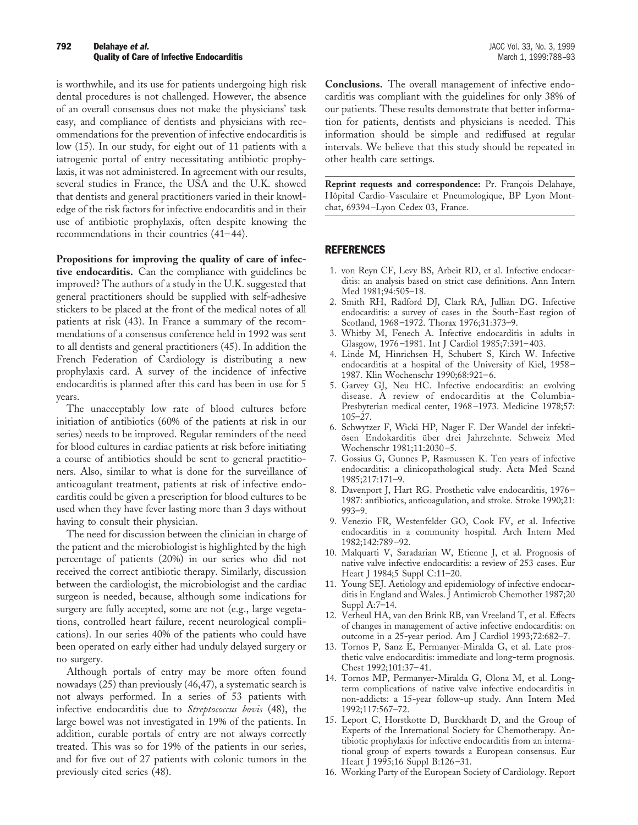#### **792 Delahaye** *et al.* JACC Vol. 33, No. 3, 1999 **Quality of Care of Infective Endocarditis** March 1, 1999:788-93

is worthwhile, and its use for patients undergoing high risk dental procedures is not challenged. However, the absence of an overall consensus does not make the physicians' task easy, and compliance of dentists and physicians with recommendations for the prevention of infective endocarditis is low (15). In our study, for eight out of 11 patients with a iatrogenic portal of entry necessitating antibiotic prophylaxis, it was not administered. In agreement with our results, several studies in France, the USA and the U.K. showed that dentists and general practitioners varied in their knowledge of the risk factors for infective endocarditis and in their use of antibiotic prophylaxis, often despite knowing the recommendations in their countries (41–44).

**Propositions for improving the quality of care of infec-**

**tive endocarditis.** Can the compliance with guidelines be improved? The authors of a study in the U.K. suggested that general practitioners should be supplied with self-adhesive stickers to be placed at the front of the medical notes of all patients at risk (43). In France a summary of the recommendations of a consensus conference held in 1992 was sent to all dentists and general practitioners (45). In addition the French Federation of Cardiology is distributing a new prophylaxis card. A survey of the incidence of infective endocarditis is planned after this card has been in use for 5 years.

The unacceptably low rate of blood cultures before initiation of antibiotics (60% of the patients at risk in our series) needs to be improved. Regular reminders of the need for blood cultures in cardiac patients at risk before initiating a course of antibiotics should be sent to general practitioners. Also, similar to what is done for the surveillance of anticoagulant treatment, patients at risk of infective endocarditis could be given a prescription for blood cultures to be used when they have fever lasting more than 3 days without having to consult their physician.

The need for discussion between the clinician in charge of the patient and the microbiologist is highlighted by the high percentage of patients (20%) in our series who did not received the correct antibiotic therapy. Similarly, discussion between the cardiologist, the microbiologist and the cardiac surgeon is needed, because, although some indications for surgery are fully accepted, some are not (e.g., large vegetations, controlled heart failure, recent neurological complications). In our series 40% of the patients who could have been operated on early either had unduly delayed surgery or no surgery.

Although portals of entry may be more often found nowadays (25) than previously (46,47), a systematic search is not always performed. In a series of 53 patients with infective endocarditis due to *Streptococcus bovis* (48), the large bowel was not investigated in 19% of the patients. In addition, curable portals of entry are not always correctly treated. This was so for 19% of the patients in our series, and for five out of 27 patients with colonic tumors in the previously cited series (48).

**Conclusions.** The overall management of infective endocarditis was compliant with the guidelines for only 38% of our patients. These results demonstrate that better information for patients, dentists and physicians is needed. This information should be simple and rediffused at regular intervals. We believe that this study should be repeated in other health care settings.

**Reprint requests and correspondence:** Pr. François Delahaye, Hôpital Cardio-Vasculaire et Pneumologique, BP Lyon Montchat, 69394–Lyon Cedex 03, France.

#### REFERENCES

- 1. von Reyn CF, Levy BS, Arbeit RD, et al. Infective endocarditis: an analysis based on strict case definitions. Ann Intern Med 1981;94:505–18.
- 2. Smith RH, Radford DJ, Clark RA, Jullian DG. Infective endocarditis: a survey of cases in the South-East region of Scotland, 1968–1972. Thorax 1976;31:373–9.
- 3. Whitby M, Fenech A. Infective endocarditis in adults in Glasgow, 1976–1981. Int J Cardiol 1985;7:391–403.
- 4. Linde M, Hinrichsen H, Schubert S, Kirch W. Infective endocarditis at a hospital of the University of Kiel, 1958– 1987. Klin Wochenschr 1990;68:921–6.
- 5. Garvey GJ, Neu HC. Infective endocarditis: an evolving disease. A review of endocarditis at the Columbia-Presbyterian medical center, 1968–1973. Medicine 1978;57: 105–27.
- 6. Schwytzer F, Wicki HP, Nager F. Der Wandel der infektiösen Endokarditis über drei Jahrzehnte. Schweiz Med Wochenschr 1981;11:2030–5.
- 7. Gossius G, Gunnes P, Rasmussen K. Ten years of infective endocarditis: a clinicopathological study. Acta Med Scand 1985;217:171–9.
- 8. Davenport J, Hart RG. Prosthetic valve endocarditis, 1976– 1987: antibiotics, anticoagulation, and stroke. Stroke 1990;21: 993–9.
- 9. Venezio FR, Westenfelder GO, Cook FV, et al. Infective endocarditis in a community hospital. Arch Intern Med 1982;142:789–92.
- 10. Malquarti V, Saradarian W, Etienne J, et al. Prognosis of native valve infective endocarditis: a review of 253 cases. Eur Heart J 1984;5 Suppl C:11–20.
- 11. Young SEJ. Aetiology and epidemiology of infective endocarditis in England and Wales. J Antimicrob Chemother 1987;20 Suppl A:7–14.
- 12. Verheul HA, van den Brink RB, van Vreeland T, et al. Effects of changes in management of active infective endocarditis: on outcome in a 25-year period. Am J Cardiol 1993;72:682–7.
- 13. Tornos P, Sanz E, Permanyer-Miralda G, et al. Late prosthetic valve endocarditis: immediate and long-term prognosis. Chest 1992;101:37–41.
- 14. Tornos MP, Permanyer-Miralda G, Olona M, et al. Longterm complications of native valve infective endocarditis in non-addicts: a 15-year follow-up study. Ann Intern Med 1992;117:567–72.
- 15. Leport C, Horstkotte D, Burckhardt D, and the Group of Experts of the International Society for Chemotherapy. Antibiotic prophylaxis for infective endocarditis from an international group of experts towards a European consensus. Eur Heart J 1995;16 Suppl B:126–31.
- 16. Working Party of the European Society of Cardiology. Report